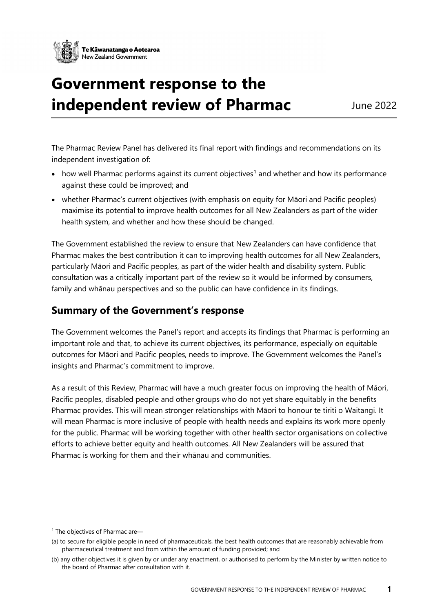

# **Government response to the independent review of Pharmac** June 2022

The Pharmac Review Panel has delivered its final report with findings and recommendations on its independent investigation of:

- how well Pharmac performs against its current objectives<sup>[1](#page-0-0)</sup> and whether and how its performance against these could be improved; and
- whether Pharmac's current objectives (with emphasis on equity for Māori and Pacific peoples) maximise its potential to improve health outcomes for all New Zealanders as part of the wider health system, and whether and how these should be changed.

The Government established the review to ensure that New Zealanders can have confidence that Pharmac makes the best contribution it can to improving health outcomes for all New Zealanders, particularly Māori and Pacific peoples, as part of the wider health and disability system. Public consultation was a critically important part of the review so it would be informed by consumers, family and whānau perspectives and so the public can have confidence in its findings.

## **Summary of the Government's response**

The Government welcomes the Panel's report and accepts its findings that Pharmac is performing an important role and that, to achieve its current objectives, its performance, especially on equitable outcomes for Māori and Pacific peoples, needs to improve. The Government welcomes the Panel's insights and Pharmac's commitment to improve.

As a result of this Review, Pharmac will have a much greater focus on improving the health of Māori, Pacific peoples, disabled people and other groups who do not yet share equitably in the benefits Pharmac provides. This will mean stronger relationships with Māori to honour te tiriti o Waitangi. It will mean Pharmac is more inclusive of people with health needs and explains its work more openly for the public. Pharmac will be working together with other health sector organisations on collective efforts to achieve better equity and health outcomes. All New Zealanders will be assured that Pharmac is working for them and their whānau and communities.

<span id="page-0-0"></span><sup>&</sup>lt;sup>1</sup> The objectives of Pharmac are-

<sup>(</sup>a) to secure for eligible people in need of pharmaceuticals, the best health outcomes that are reasonably achievable from pharmaceutical treatment and from within the amount of funding provided; and

<sup>(</sup>b) any other objectives it is given by or under any enactment, or authorised to perform by the Minister by written notice to the board of Pharmac after consultation with it.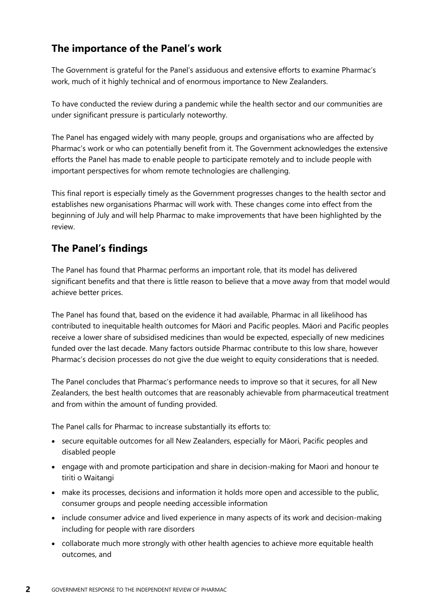# **The importance of the Panel's work**

The Government is grateful for the Panel's assiduous and extensive efforts to examine Pharmac's work, much of it highly technical and of enormous importance to New Zealanders.

To have conducted the review during a pandemic while the health sector and our communities are under significant pressure is particularly noteworthy.

The Panel has engaged widely with many people, groups and organisations who are affected by Pharmac's work or who can potentially benefit from it. The Government acknowledges the extensive efforts the Panel has made to enable people to participate remotely and to include people with important perspectives for whom remote technologies are challenging.

This final report is especially timely as the Government progresses changes to the health sector and establishes new organisations Pharmac will work with. These changes come into effect from the beginning of July and will help Pharmac to make improvements that have been highlighted by the review.

# **The Panel's findings**

The Panel has found that Pharmac performs an important role, that its model has delivered significant benefits and that there is little reason to believe that a move away from that model would achieve better prices.

The Panel has found that, based on the evidence it had available, Pharmac in all likelihood has contributed to inequitable health outcomes for Māori and Pacific peoples. Māori and Pacific peoples receive a lower share of subsidised medicines than would be expected, especially of new medicines funded over the last decade. Many factors outside Pharmac contribute to this low share, however Pharmac's decision processes do not give the due weight to equity considerations that is needed.

The Panel concludes that Pharmac's performance needs to improve so that it secures, for all New Zealanders, the best health outcomes that are reasonably achievable from pharmaceutical treatment and from within the amount of funding provided.

The Panel calls for Pharmac to increase substantially its efforts to:

- secure equitable outcomes for all New Zealanders, especially for Māori, Pacific peoples and disabled people
- engage with and promote participation and share in decision-making for Maori and honour te tiriti o Waitangi
- make its processes, decisions and information it holds more open and accessible to the public, consumer groups and people needing accessible information
- include consumer advice and lived experience in many aspects of its work and decision-making including for people with rare disorders
- collaborate much more strongly with other health agencies to achieve more equitable health outcomes, and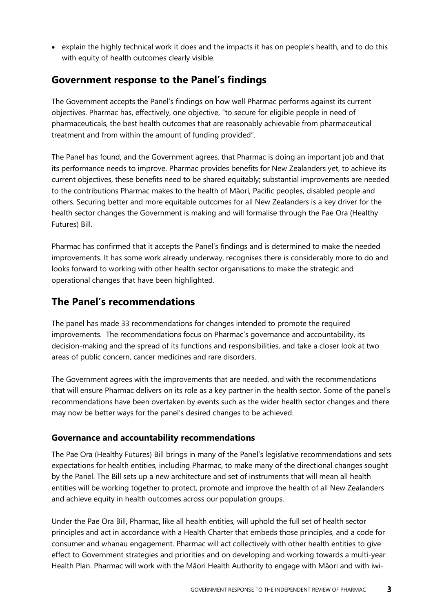• explain the highly technical work it does and the impacts it has on people's health, and to do this with equity of health outcomes clearly visible.

## **Government response to the Panel's findings**

The Government accepts the Panel's findings on how well Pharmac performs against its current objectives. Pharmac has, effectively, one objective, "to secure for eligible people in need of pharmaceuticals, the best health outcomes that are reasonably achievable from pharmaceutical treatment and from within the amount of funding provided".

The Panel has found, and the Government agrees, that Pharmac is doing an important job and that its performance needs to improve. Pharmac provides benefits for New Zealanders yet, to achieve its current objectives, these benefits need to be shared equitably; substantial improvements are needed to the contributions Pharmac makes to the health of Māori, Pacific peoples, disabled people and others. Securing better and more equitable outcomes for all New Zealanders is a key driver for the health sector changes the Government is making and will formalise through the Pae Ora (Healthy Futures) Bill.

Pharmac has confirmed that it accepts the Panel's findings and is determined to make the needed improvements. It has some work already underway, recognises there is considerably more to do and looks forward to working with other health sector organisations to make the strategic and operational changes that have been highlighted.

## **The Panel's recommendations**

The panel has made 33 recommendations for changes intended to promote the required improvements. The recommendations focus on Pharmac's governance and accountability, its decision-making and the spread of its functions and responsibilities, and take a closer look at two areas of public concern, cancer medicines and rare disorders.

The Government agrees with the improvements that are needed, and with the recommendations that will ensure Pharmac delivers on its role as a key partner in the health sector. Some of the panel's recommendations have been overtaken by events such as the wider health sector changes and there may now be better ways for the panel's desired changes to be achieved.

## **Governance and accountability recommendations**

The Pae Ora (Healthy Futures) Bill brings in many of the Panel's legislative recommendations and sets expectations for health entities, including Pharmac, to make many of the directional changes sought by the Panel. The Bill sets up a new architecture and set of instruments that will mean all health entities will be working together to protect, promote and improve the health of all New Zealanders and achieve equity in health outcomes across our population groups.

Under the Pae Ora Bill, Pharmac, like all health entities, will uphold the full set of health sector principles and act in accordance with a Health Charter that embeds those principles, and a code for consumer and whanau engagement. Pharmac will act collectively with other health entities to give effect to Government strategies and priorities and on developing and working towards a multi-year Health Plan. Pharmac will work with the Māori Health Authority to engage with Māori and with iwi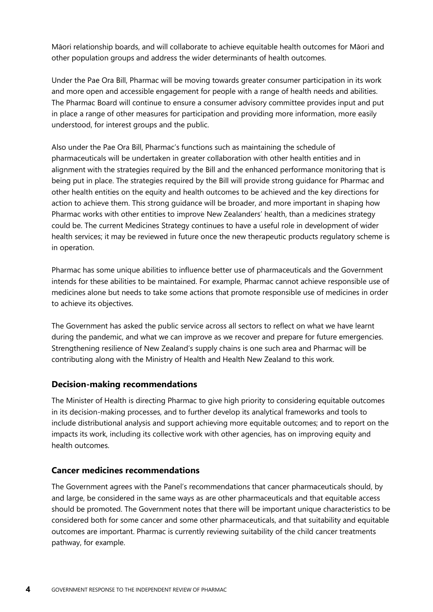Māori relationship boards, and will collaborate to achieve equitable health outcomes for Māori and other population groups and address the wider determinants of health outcomes.

Under the Pae Ora Bill, Pharmac will be moving towards greater consumer participation in its work and more open and accessible engagement for people with a range of health needs and abilities. The Pharmac Board will continue to ensure a consumer advisory committee provides input and put in place a range of other measures for participation and providing more information, more easily understood, for interest groups and the public.

Also under the Pae Ora Bill, Pharmac's functions such as maintaining the schedule of pharmaceuticals will be undertaken in greater collaboration with other health entities and in alignment with the strategies required by the Bill and the enhanced performance monitoring that is being put in place. The strategies required by the Bill will provide strong guidance for Pharmac and other health entities on the equity and health outcomes to be achieved and the key directions for action to achieve them. This strong guidance will be broader, and more important in shaping how Pharmac works with other entities to improve New Zealanders' health, than a medicines strategy could be. The current Medicines Strategy continues to have a useful role in development of wider health services; it may be reviewed in future once the new therapeutic products regulatory scheme is in operation.

Pharmac has some unique abilities to influence better use of pharmaceuticals and the Government intends for these abilities to be maintained. For example, Pharmac cannot achieve responsible use of medicines alone but needs to take some actions that promote responsible use of medicines in order to achieve its objectives.

The Government has asked the public service across all sectors to reflect on what we have learnt during the pandemic, and what we can improve as we recover and prepare for future emergencies. Strengthening resilience of New Zealand's supply chains is one such area and Pharmac will be contributing along with the Ministry of Health and Health New Zealand to this work.

#### **Decision-making recommendations**

The Minister of Health is directing Pharmac to give high priority to considering equitable outcomes in its decision-making processes, and to further develop its analytical frameworks and tools to include distributional analysis and support achieving more equitable outcomes; and to report on the impacts its work, including its collective work with other agencies, has on improving equity and health outcomes.

## **Cancer medicines recommendations**

The Government agrees with the Panel's recommendations that cancer pharmaceuticals should, by and large, be considered in the same ways as are other pharmaceuticals and that equitable access should be promoted. The Government notes that there will be important unique characteristics to be considered both for some cancer and some other pharmaceuticals, and that suitability and equitable outcomes are important. Pharmac is currently reviewing suitability of the child cancer treatments pathway, for example.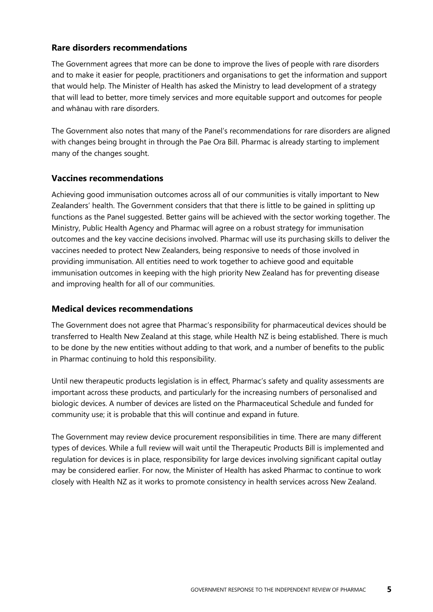#### **Rare disorders recommendations**

The Government agrees that more can be done to improve the lives of people with rare disorders and to make it easier for people, practitioners and organisations to get the information and support that would help. The Minister of Health has asked the Ministry to lead development of a strategy that will lead to better, more timely services and more equitable support and outcomes for people and whānau with rare disorders.

The Government also notes that many of the Panel's recommendations for rare disorders are aligned with changes being brought in through the Pae Ora Bill. Pharmac is already starting to implement many of the changes sought.

#### **Vaccines recommendations**

Achieving good immunisation outcomes across all of our communities is vitally important to New Zealanders' health. The Government considers that that there is little to be gained in splitting up functions as the Panel suggested. Better gains will be achieved with the sector working together. The Ministry, Public Health Agency and Pharmac will agree on a robust strategy for immunisation outcomes and the key vaccine decisions involved. Pharmac will use its purchasing skills to deliver the vaccines needed to protect New Zealanders, being responsive to needs of those involved in providing immunisation. All entities need to work together to achieve good and equitable immunisation outcomes in keeping with the high priority New Zealand has for preventing disease and improving health for all of our communities.

#### **Medical devices recommendations**

The Government does not agree that Pharmac's responsibility for pharmaceutical devices should be transferred to Health New Zealand at this stage, while Health NZ is being established. There is much to be done by the new entities without adding to that work, and a number of benefits to the public in Pharmac continuing to hold this responsibility.

Until new therapeutic products legislation is in effect, Pharmac's safety and quality assessments are important across these products, and particularly for the increasing numbers of personalised and biologic devices. A number of devices are listed on the Pharmaceutical Schedule and funded for community use; it is probable that this will continue and expand in future.

The Government may review device procurement responsibilities in time. There are many different types of devices. While a full review will wait until the Therapeutic Products Bill is implemented and regulation for devices is in place, responsibility for large devices involving significant capital outlay may be considered earlier. For now, the Minister of Health has asked Pharmac to continue to work closely with Health NZ as it works to promote consistency in health services across New Zealand.